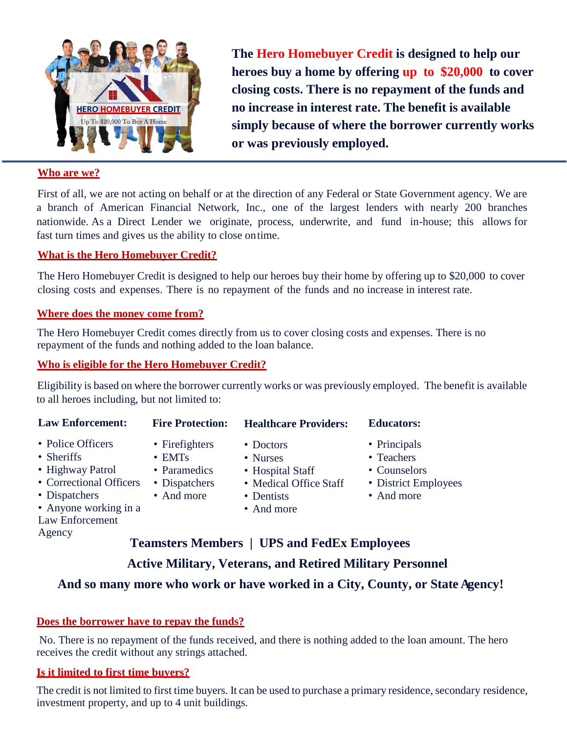

**The Hero Homebuyer Credit is designed to help our heroes buy a home by offering up to \$20,000 to cover closing costs. There is no repayment of the funds and no increase in interest rate. The benefit is available simply because of where the borrower currently works or was previously employed.**

#### **Who are we?**

First of all, we are not acting on behalf or at the direction of any Federal or State Government agency. We are a branch of American Financial Network, Inc., one of the largest lenders with nearly 200 branches nationwide. As a Direct Lender we originate, process, underwrite, and fund in-house; this allows for fast turn times and gives us the ability to close ontime.

#### **What is the Hero Homebuyer Credit?**

The Hero Homebuyer Credit is designed to help our heroes buy their home by offering up to \$20,000 to cover closing costs and expenses. There is no repayment of the funds and no increase in interest rate.

#### **Where does the money come from?**

The Hero Homebuyer Credit comes directly from us to cover closing costs and expenses. There is no repayment of the funds and nothing added to the loan balance.

#### **Who is eligible for the Hero Homebuyer Credit?**

Eligibility is based on where the borrower currently works or was previously employed. The benefit is available to all heroes including, but not limited to:

| <b>Law Enforcement:</b>                                                                                                                            | <b>Fire Protection:</b>                                                       | <b>Healthcare Providers:</b>                                                                    | <b>Educators:</b>                                                                |
|----------------------------------------------------------------------------------------------------------------------------------------------------|-------------------------------------------------------------------------------|-------------------------------------------------------------------------------------------------|----------------------------------------------------------------------------------|
| • Police Officers<br>• Sheriffs<br>• Highway Patrol<br>• Correctional Officers<br>• Dispatchers<br>• Anyone working in a<br><b>Law Enforcement</b> | • Firefighters<br>$\cdot$ EMTs<br>• Paramedics<br>• Dispatchers<br>• And more | • Doctors<br>• Nurses<br>• Hospital Staff<br>• Medical Office Staff<br>• Dentists<br>• And more | • Principals<br>• Teachers<br>• Counselors<br>• District Employees<br>• And more |

Law Enforcement Agency

### **Teamsters Members | UPS and FedEx Employees Active Military, Veterans, and Retired Military Personnel**

#### **And so many more who work or have worked in a City, County, or State Agency!**

#### **Does the borrower have to repay the funds?**

No. There is no repayment of the funds received, and there is nothing added to the loan amount. The hero receives the credit without any strings attached.

#### **Is it limited to first time buyers?**

The credit is not limited to first time buyers. It can be used to purchase a primary residence, secondary residence, investment property, and up to 4 unit buildings.